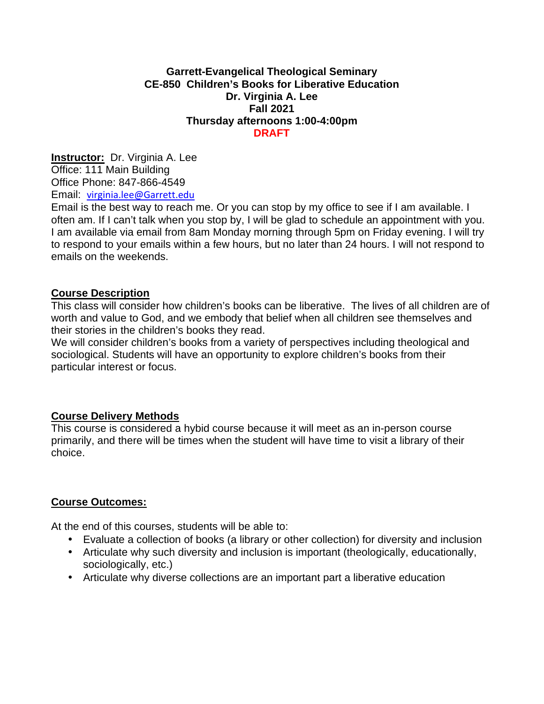### **Garrett-Evangelical Theological Seminary CE-850 Children's Books for Liberative Education Dr. Virginia A. Lee Fall 2021 Thursday afternoons 1:00-4:00pm DRAFT**

**Instructor:** Dr. Virginia A. Lee Office: 111 Main Building Office Phone: 847-866-4549 Email: virginia.lee@Garrett.edu

Email is the best way to reach me. Or you can stop by my office to see if I am available. I often am. If I can't talk when you stop by, I will be glad to schedule an appointment with you. I am available via email from 8am Monday morning through 5pm on Friday evening. I will try to respond to your emails within a few hours, but no later than 24 hours. I will not respond to emails on the weekends.

### **Course Description**

This class will consider how children's books can be liberative. The lives of all children are of worth and value to God, and we embody that belief when all children see themselves and their stories in the children's books they read.

We will consider children's books from a variety of perspectives including theological and sociological. Students will have an opportunity to explore children's books from their particular interest or focus.

### **Course Delivery Methods**

This course is considered a hybid course because it will meet as an in-person course primarily, and there will be times when the student will have time to visit a library of their choice.

## **Course Outcomes:**

At the end of this courses, students will be able to:

- Evaluate a collection of books (a library or other collection) for diversity and inclusion
- Articulate why such diversity and inclusion is important (theologically, educationally, sociologically, etc.)
- Articulate why diverse collections are an important part a liberative education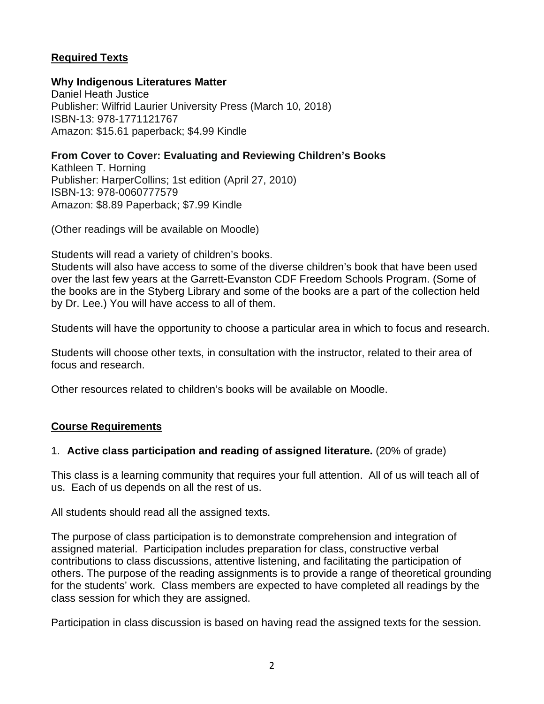## **Required Texts**

## **Why Indigenous Literatures Matter**

Daniel Heath Justice Publisher: Wilfrid Laurier University Press (March 10, 2018) ISBN-13: 978-1771121767 Amazon: \$15.61 paperback; \$4.99 Kindle

## **From Cover to Cover: Evaluating and Reviewing Children's Books**

Kathleen T. Horning Publisher: HarperCollins; 1st edition (April 27, 2010) ISBN-13: 978-0060777579 Amazon: \$8.89 Paperback; \$7.99 Kindle

(Other readings will be available on Moodle)

Students will read a variety of children's books.

Students will also have access to some of the diverse children's book that have been used over the last few years at the Garrett-Evanston CDF Freedom Schools Program. (Some of the books are in the Styberg Library and some of the books are a part of the collection held by Dr. Lee.) You will have access to all of them.

Students will have the opportunity to choose a particular area in which to focus and research.

Students will choose other texts, in consultation with the instructor, related to their area of focus and research.

Other resources related to children's books will be available on Moodle.

## **Course Requirements**

## 1. **Active class participation and reading of assigned literature.** (20% of grade)

This class is a learning community that requires your full attention. All of us will teach all of us. Each of us depends on all the rest of us.

All students should read all the assigned texts.

The purpose of class participation is to demonstrate comprehension and integration of assigned material. Participation includes preparation for class, constructive verbal contributions to class discussions, attentive listening, and facilitating the participation of others. The purpose of the reading assignments is to provide a range of theoretical grounding for the students' work. Class members are expected to have completed all readings by the class session for which they are assigned.

Participation in class discussion is based on having read the assigned texts for the session.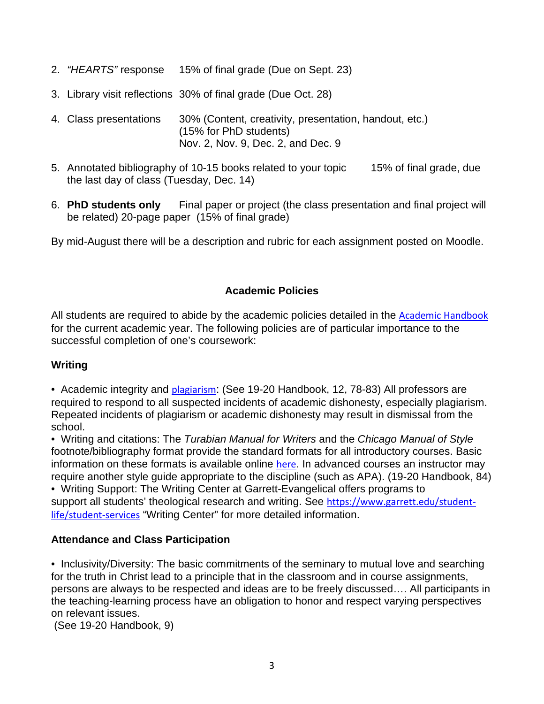- 2. "HEARTS" response 15% of final grade (Due on Sept. 23)
- 3. Library visit reflections 30% of final grade (Due Oct. 28)
- 4. Class presentations 30% (Content, creativity, presentation, handout, etc.) (15% for PhD students) Nov. 2, Nov. 9, Dec. 2, and Dec. 9
- 5. Annotated bibliography of 10-15 books related to your topic 15% of final grade, due the last day of class (Tuesday, Dec. 14)
- 6. **PhD students only** Final paper or project (the class presentation and final project will be related) 20-page paper (15% of final grade)

By mid-August there will be a description and rubric for each assignment posted on Moodle.

## **Academic Policies**

All students are required to abide by the academic policies detailed in the Academic Handbook for the current academic year. The following policies are of particular importance to the successful completion of one's coursework:

### **Writing**

• Academic integrity and *plagiarism*: (See 19-20 Handbook, 12, 78-83) All professors are required to respond to all suspected incidents of academic dishonesty, especially plagiarism. Repeated incidents of plagiarism or academic dishonesty may result in dismissal from the school.

• Writing and citations: The Turabian Manual for Writers and the Chicago Manual of Style footnote/bibliography format provide the standard formats for all introductory courses. Basic information on these formats is available online here. In advanced courses an instructor may require another style guide appropriate to the discipline (such as APA). (19-20 Handbook, 84)

• Writing Support: The Writing Center at Garrett-Evangelical offers programs to support all students' theological research and writing. See https://www.garrett.edu/studentlife/student-services "Writing Center" for more detailed information.

## **Attendance and Class Participation**

• Inclusivity/Diversity: The basic commitments of the seminary to mutual love and searching for the truth in Christ lead to a principle that in the classroom and in course assignments, persons are always to be respected and ideas are to be freely discussed…. All participants in the teaching-learning process have an obligation to honor and respect varying perspectives on relevant issues.

(See 19-20 Handbook, 9)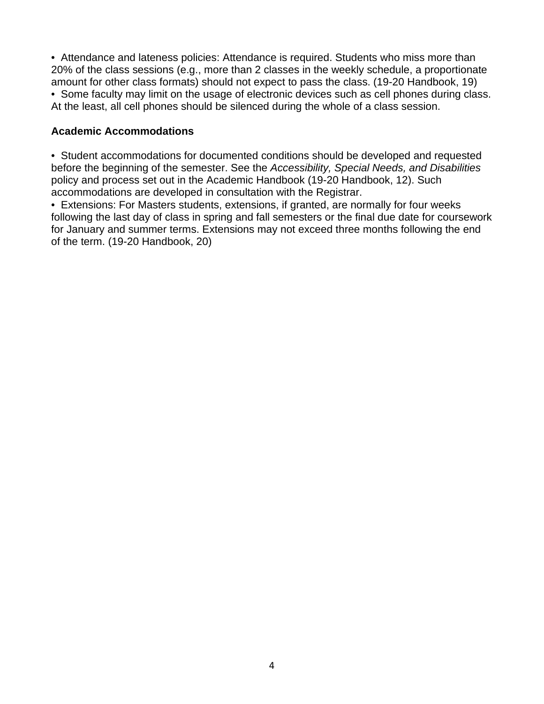• Attendance and lateness policies: Attendance is required. Students who miss more than 20% of the class sessions (e.g., more than 2 classes in the weekly schedule, a proportionate amount for other class formats) should not expect to pass the class. (19-20 Handbook, 19) • Some faculty may limit on the usage of electronic devices such as cell phones during class. At the least, all cell phones should be silenced during the whole of a class session.

### **Academic Accommodations**

• Student accommodations for documented conditions should be developed and requested before the beginning of the semester. See the Accessibility, Special Needs, and Disabilities policy and process set out in the Academic Handbook (19-20 Handbook, 12). Such accommodations are developed in consultation with the Registrar.

• Extensions: For Masters students, extensions, if granted, are normally for four weeks following the last day of class in spring and fall semesters or the final due date for coursework for January and summer terms. Extensions may not exceed three months following the end of the term. (19-20 Handbook, 20)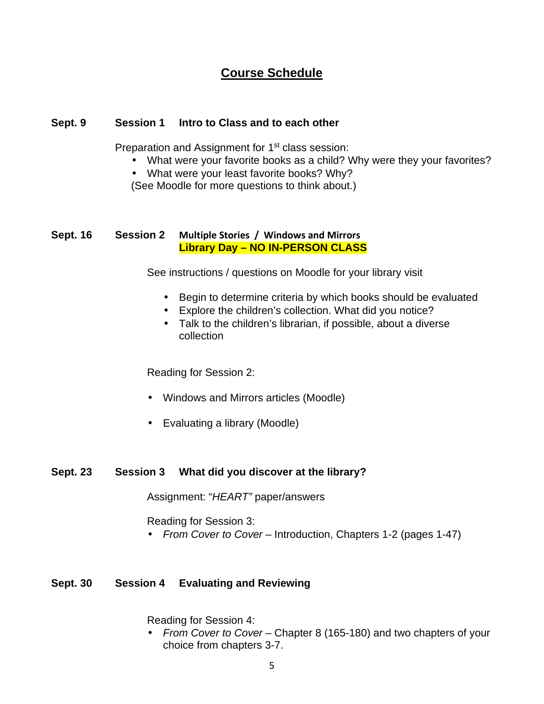## **Course Schedule**

### **Sept. 9 Session 1 Intro to Class and to each other**

Preparation and Assignment for 1<sup>st</sup> class session:

- What were your favorite books as a child? Why were they your favorites?
- What were your least favorite books? Why?

(See Moodle for more questions to think about.)

### **Sept. 16 Session 2 Multiple Stories / Windows and Mirrors Library Day – NO IN-PERSON CLASS**

See instructions / questions on Moodle for your library visit

- Begin to determine criteria by which books should be evaluated
- Explore the children's collection. What did you notice?
- Talk to the children's librarian, if possible, about a diverse collection

Reading for Session 2:

- Windows and Mirrors articles (Moodle)
- Evaluating a library (Moodle)

### **Sept. 23 Session 3 What did you discover at the library?**

Assignment: "HEART" paper/answers

Reading for Session 3:

• From Cover to Cover – Introduction, Chapters 1-2 (pages 1-47)

## **Sept. 30 Session 4 Evaluating and Reviewing**

Reading for Session 4:

• From Cover to Cover – Chapter 8 (165-180) and two chapters of your choice from chapters 3-7.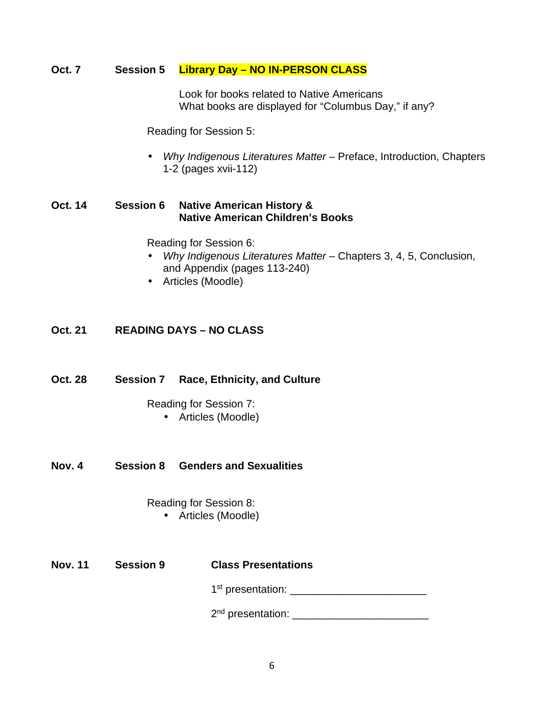### **Oct. 7 Session 5 Library Day – NO IN-PERSON CLASS**

 Look for books related to Native Americans What books are displayed for "Columbus Day," if any?

Reading for Session 5:

• Why Indigenous Literatures Matter – Preface, Introduction, Chapters 1-2 (pages xvii-112)

## **Oct. 14 Session 6 Native American History & Native American Children's Books**

Reading for Session 6:

- Why Indigenous Literatures Matter Chapters 3, 4, 5, Conclusion, and Appendix (pages 113-240)
- Articles (Moodle)

### **Oct. 21 READING DAYS – NO CLASS**

### **Oct. 28 Session 7 Race, Ethnicity, and Culture**

Reading for Session 7:

- Articles (Moodle)
- **Nov. 4 Session 8 Genders and Sexualities**

### Reading for Session 8:

- Articles (Moodle)
- 

### **Nov. 11 Session 9 Class Presentations**

**1 1** st presentation: \_\_\_\_\_\_\_\_\_\_\_\_\_\_\_\_\_\_\_\_\_\_\_

2nd presentation: \_\_\_\_\_\_\_\_\_\_\_\_\_\_\_\_\_\_\_\_\_\_\_